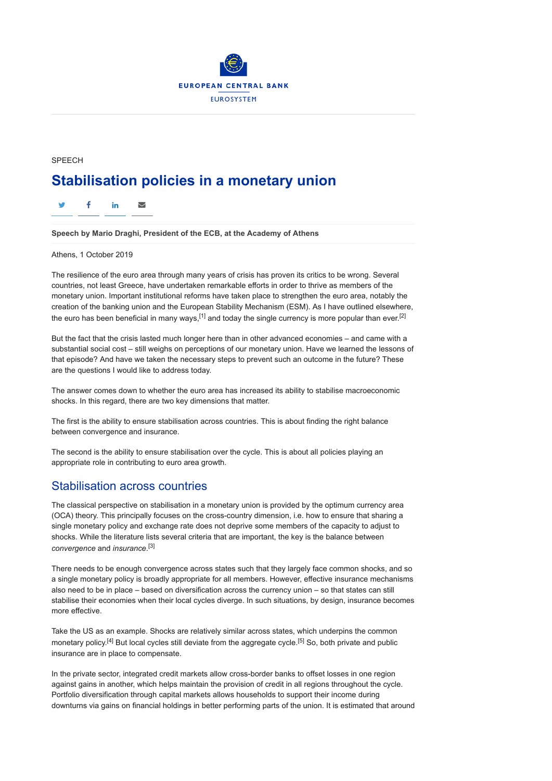

## SPEECH **Stabilisation policies in a monetary union**

 $\mathsf{y}$  f in  $\mathsf{\Sigma}$ 

**Speech by Mario Draghi, President of the ECB, at the Academy of Athens**

Athens, 1 October 2019

The resilience of the euro area through many years of crisis has proven its critics to be wrong. Several countries, not least Greece, have undertaken remarkable efforts in order to thrive as members of the monetary union. Important institutional reforms have taken place to strengthen the euro area, notably the creation of the banking union and the European Stability Mechanism (ESM). As I have outlined elsewhere, the euro has been beneficial in many ways,<sup>[1]</sup> and today the single currency is more popular than ever.<sup>[2]</sup>

But the fact that the crisis lasted much longer here than in other advanced economies – and came with a substantial social cost – still weighs on perceptions of our monetary union. Have we learned the lessons of that episode? And have we taken the necessary steps to prevent such an outcome in the future? These are the questions I would like to address today.

The answer comes down to whether the euro area has increased its ability to stabilise macroeconomic shocks. In this regard, there are two key dimensions that matter.

The first is the ability to ensure stabilisation across countries. This is about finding the right balance between convergence and insurance.

The second is the ability to ensure stabilisation over the cycle. This is about all policies playing an appropriate role in contributing to euro area growth.

## Stabilisation across countries

The classical perspective on stabilisation in a monetary union is provided by the optimum currency area (OCA) theory. This principally focuses on the cross-country dimension, i.e. how to ensure that sharing a single monetary policy and exchange rate does not deprive some members of the capacity to adjust to shocks. While the literature lists several criteria that are important, the key is the balance between *convergence* and *insurance*. [3]

There needs to be enough convergence across states such that they largely face common shocks, and so a single monetary policy is broadly appropriate for all members. However, effective insurance mechanisms also need to be in place – based on diversification across the currency union – so that states can still stabilise their economies when their local cycles diverge. In such situations, by design, insurance becomes more effective.

Take the US as an example. Shocks are relatively similar across states, which underpins the common monetary policy.<sup>[4]</sup> But local cycles still deviate from the aggregate cycle.<sup>[5]</sup> So, both private and public insurance are in place to compensate.

In the private sector, integrated credit markets allow cross-border banks to offset losses in one region against gains in another, which helps maintain the provision of credit in all regions throughout the cycle. Portfolio diversification through capital markets allows households to support their income during downturns via gains on financial holdings in better performing parts of the union. It is estimated that around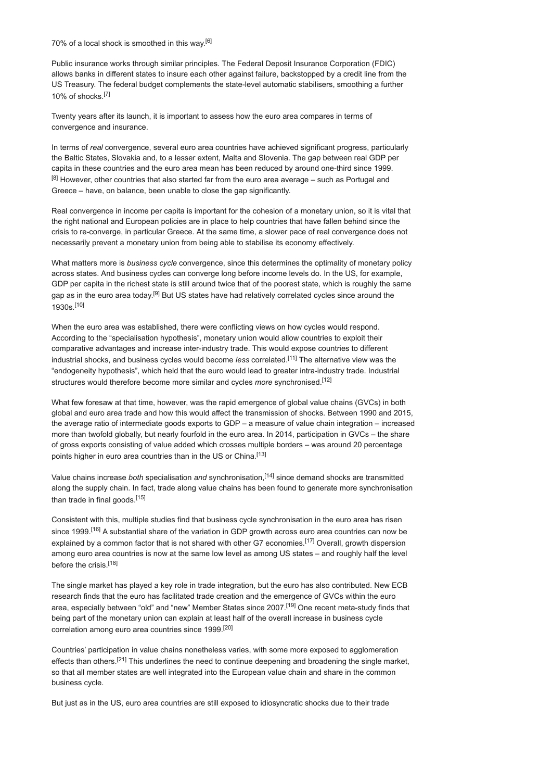70% of a local shock is smoothed in this way.[6]

Public insurance works through similar principles. The Federal Deposit Insurance Corporation (FDIC) allows banks in different states to insure each other against failure, backstopped by a credit line from the US Treasury. The federal budget complements the state-level automatic stabilisers, smoothing a further 10% of shocks.[7]

Twenty years after its launch, it is important to assess how the euro area compares in terms of convergence and insurance.

In terms of *real* convergence, several euro area countries have achieved significant progress, particularly the Baltic States, Slovakia and, to a lesser extent, Malta and Slovenia. The gap between real GDP per capita in these countries and the euro area mean has been reduced by around one-third since 1999.  $[8]$  However, other countries that also started far from the euro area average – such as Portugal and Greece – have, on balance, been unable to close the gap significantly.

Real convergence in income per capita is important for the cohesion of a monetary union, so it is vital that the right national and European policies are in place to help countries that have fallen behind since the crisis to re-converge, in particular Greece. At the same time, a slower pace of real convergence does not necessarily prevent a monetary union from being able to stabilise its economy effectively.

What matters more is *business cycle* convergence, since this determines the optimality of monetary policy across states. And business cycles can converge long before income levels do. In the US, for example, GDP per capita in the richest state is still around twice that of the poorest state, which is roughly the same gap as in the euro area today.<sup>[9]</sup> But US states have had relatively correlated cycles since around the 1930s.[10]

When the euro area was established, there were conflicting views on how cycles would respond. According to the "specialisation hypothesis", monetary union would allow countries to exploit their comparative advantages and increase inter-industry trade. This would expose countries to different industrial shocks, and business cycles would become *less* correlated.[11] The alternative view was the "endogeneity hypothesis", which held that the euro would lead to greater intra-industry trade. Industrial structures would therefore become more similar and cycles *more* synchronised.[12]

What few foresaw at that time, however, was the rapid emergence of global value chains (GVCs) in both global and euro area trade and how this would affect the transmission of shocks. Between 1990 and 2015, the average ratio of intermediate goods exports to GDP – a measure of value chain integration – increased more than twofold globally, but nearly fourfold in the euro area. In 2014, participation in GVCs – the share of gross exports consisting of value added which crosses multiple borders – was around 20 percentage points higher in euro area countries than in the US or China.<sup>[13]</sup>

Value chains increase *both* specialisation *and* synchronisation,[14] since demand shocks are transmitted along the supply chain. In fact, trade along value chains has been found to generate more synchronisation than trade in final goods.<sup>[15]</sup>

Consistent with this, multiple studies find that business cycle synchronisation in the euro area has risen since 1999.<sup>[16]</sup> A substantial share of the variation in GDP growth across euro area countries can now be explained by a common factor that is not shared with other G7 economies.<sup>[17]</sup> Overall, growth dispersion among euro area countries is now at the same low level as among US states – and roughly half the level before the crisis.[18]

The single market has played a key role in trade integration, but the euro has also contributed. New ECB research finds that the euro has facilitated trade creation and the emergence of GVCs within the euro area, especially between "old" and "new" Member States since 2007.<sup>[19]</sup> One recent meta-study finds that being part of the monetary union can explain at least half of the overall increase in business cycle correlation among euro area countries since 1999.[20]

Countries' participation in value chains nonetheless varies, with some more exposed to agglomeration effects than others.<sup>[21]</sup> This underlines the need to continue deepening and broadening the single market, so that all member states are well integrated into the European value chain and share in the common business cycle.

But just as in the US, euro area countries are still exposed to idiosyncratic shocks due to their trade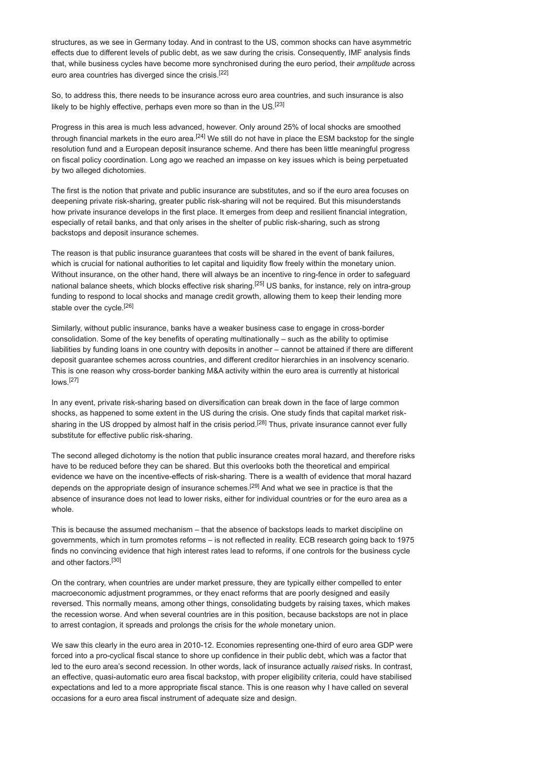structures, as we see in Germany today. And in contrast to the US, common shocks can have asymmetric effects due to different levels of public debt, as we saw during the crisis. Consequently, IMF analysis finds that, while business cycles have become more synchronised during the euro period, their *amplitude* across euro area countries has diverged since the crisis.[22]

So, to address this, there needs to be insurance across euro area countries, and such insurance is also likely to be highly effective, perhaps even more so than in the US.<sup>[23]</sup>

Progress in this area is much less advanced, however. Only around 25% of local shocks are smoothed through financial markets in the euro area.<sup>[24]</sup> We still do not have in place the ESM backstop for the single resolution fund and a European deposit insurance scheme. And there has been little meaningful progress on fiscal policy coordination. Long ago we reached an impasse on key issues which is being perpetuated by two alleged dichotomies.

The first is the notion that private and public insurance are substitutes, and so if the euro area focuses on deepening private risk-sharing, greater public risk-sharing will not be required. But this misunderstands how private insurance develops in the first place. It emerges from deep and resilient financial integration, especially of retail banks, and that only arises in the shelter of public risk-sharing, such as strong backstops and deposit insurance schemes.

The reason is that public insurance guarantees that costs will be shared in the event of bank failures, which is crucial for national authorities to let capital and liquidity flow freely within the monetary union. Without insurance, on the other hand, there will always be an incentive to ring-fence in order to safeguard national balance sheets, which blocks effective risk sharing.<sup>[25]</sup> US banks, for instance, rely on intra-group funding to respond to local shocks and manage credit growth, allowing them to keep their lending more stable over the cycle.<sup>[26]</sup>

Similarly, without public insurance, banks have a weaker business case to engage in cross-border consolidation. Some of the key benefits of operating multinationally – such as the ability to optimise liabilities by funding loans in one country with deposits in another – cannot be attained if there are different deposit guarantee schemes across countries, and different creditor hierarchies in an insolvency scenario. This is one reason why cross-border banking M&A activity within the euro area is currently at historical lows.[27]

In any event, private risk-sharing based on diversification can break down in the face of large common shocks, as happened to some extent in the US during the crisis. One study finds that capital market risksharing in the US dropped by almost half in the crisis period.<sup>[28]</sup> Thus, private insurance cannot ever fully substitute for effective public risk-sharing.

The second alleged dichotomy is the notion that public insurance creates moral hazard, and therefore risks have to be reduced before they can be shared. But this overlooks both the theoretical and empirical evidence we have on the incentive-effects of risk-sharing. There is a wealth of evidence that moral hazard depends on the appropriate design of insurance schemes.<sup>[29]</sup> And what we see in practice is that the absence of insurance does not lead to lower risks, either for individual countries or for the euro area as a whole.

This is because the assumed mechanism – that the absence of backstops leads to market discipline on governments, which in turn promotes reforms – is not reflected in reality. ECB research going back to 1975 finds no convincing evidence that high interest rates lead to reforms, if one controls for the business cycle and other factors.[30]

On the contrary, when countries are under market pressure, they are typically either compelled to enter macroeconomic adjustment programmes, or they enact reforms that are poorly designed and easily reversed. This normally means, among other things, consolidating budgets by raising taxes, which makes the recession worse. And when several countries are in this position, because backstops are not in place to arrest contagion, it spreads and prolongs the crisis for the *whole* monetary union.

We saw this clearly in the euro area in 2010-12. Economies representing one-third of euro area GDP were forced into a pro-cyclical fiscal stance to shore up confidence in their public debt, which was a factor that led to the euro area's second recession. In other words, lack of insurance actually *raised* risks. In contrast, an effective, quasi-automatic euro area fiscal backstop, with proper eligibility criteria, could have stabilised expectations and led to a more appropriate fiscal stance. This is one reason why I have called on several occasions for a euro area fiscal instrument of adequate size and design.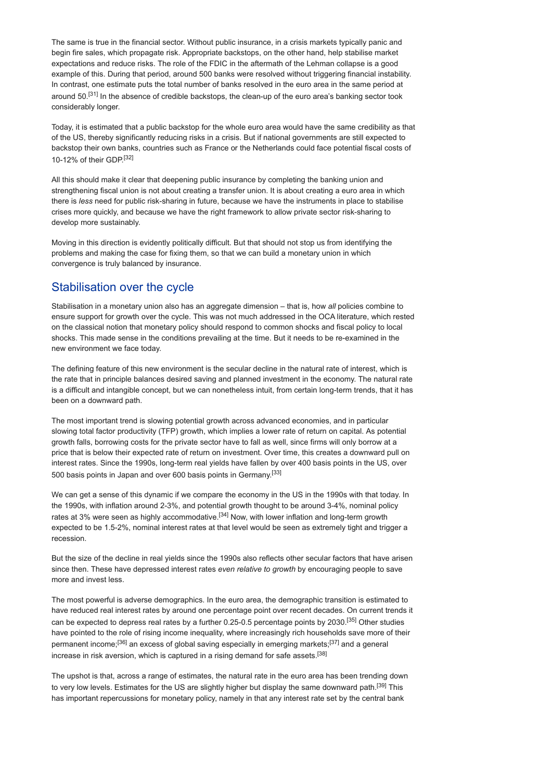The same is true in the financial sector. Without public insurance, in a crisis markets typically panic and begin fire sales, which propagate risk. Appropriate backstops, on the other hand, help stabilise market expectations and reduce risks. The role of the FDIC in the aftermath of the Lehman collapse is a good example of this. During that period, around 500 banks were resolved without triggering financial instability. In contrast, one estimate puts the total number of banks resolved in the euro area in the same period at around 50.<sup>[31]</sup> In the absence of credible backstops, the clean-up of the euro area's banking sector took considerably longer.

Today, it is estimated that a public backstop for the whole euro area would have the same credibility as that of the US, thereby significantly reducing risks in a crisis. But if national governments are still expected to backstop their own banks, countries such as France or the Netherlands could face potential fiscal costs of 10-12% of their GDP $[32]$ 

All this should make it clear that deepening public insurance by completing the banking union and strengthening fiscal union is not about creating a transfer union. It is about creating a euro area in which there is *less* need for public risk-sharing in future, because we have the instruments in place to stabilise crises more quickly, and because we have the right framework to allow private sector risk-sharing to develop more sustainably.

Moving in this direction is evidently politically difficult. But that should not stop us from identifying the problems and making the case for fixing them, so that we can build a monetary union in which convergence is truly balanced by insurance.

## Stabilisation over the cycle

Stabilisation in a monetary union also has an aggregate dimension – that is, how *all* policies combine to ensure support for growth over the cycle. This was not much addressed in the OCA literature, which rested on the classical notion that monetary policy should respond to common shocks and fiscal policy to local shocks. This made sense in the conditions prevailing at the time. But it needs to be re-examined in the new environment we face today.

The defining feature of this new environment is the secular decline in the natural rate of interest, which is the rate that in principle balances desired saving and planned investment in the economy. The natural rate is a difficult and intangible concept, but we can nonetheless intuit, from certain long-term trends, that it has been on a downward path.

The most important trend is slowing potential growth across advanced economies, and in particular slowing total factor productivity (TFP) growth, which implies a lower rate of return on capital. As potential growth falls, borrowing costs for the private sector have to fall as well, since firms will only borrow at a price that is below their expected rate of return on investment. Over time, this creates a downward pull on interest rates. Since the 1990s, long-term real yields have fallen by over 400 basis points in the US, over 500 basis points in Japan and over 600 basis points in Germany.[33]

We can get a sense of this dynamic if we compare the economy in the US in the 1990s with that today. In the 1990s, with inflation around 2-3%, and potential growth thought to be around 3-4%, nominal policy rates at 3% were seen as highly accommodative.<sup>[34]</sup> Now, with lower inflation and long-term growth expected to be 1.5-2%, nominal interest rates at that level would be seen as extremely tight and trigger a recession.

But the size of the decline in real yields since the 1990s also reflects other secular factors that have arisen since then. These have depressed interest rates *even relative to growth* by encouraging people to save more and invest less.

The most powerful is adverse demographics. In the euro area, the demographic transition is estimated to have reduced real interest rates by around one percentage point over recent decades. On current trends it can be expected to depress real rates by a further 0.25-0.5 percentage points by 2030.<sup>[35]</sup> Other studies have pointed to the role of rising income inequality, where increasingly rich households save more of their permanent income;<sup>[36]</sup> an excess of global saving especially in emerging markets;<sup>[37]</sup> and a general increase in risk aversion, which is captured in a rising demand for safe assets.<sup>[38]</sup>

The upshot is that, across a range of estimates, the natural rate in the euro area has been trending down to very low levels. Estimates for the US are slightly higher but display the same downward path.<sup>[39]</sup> This has important repercussions for monetary policy, namely in that any interest rate set by the central bank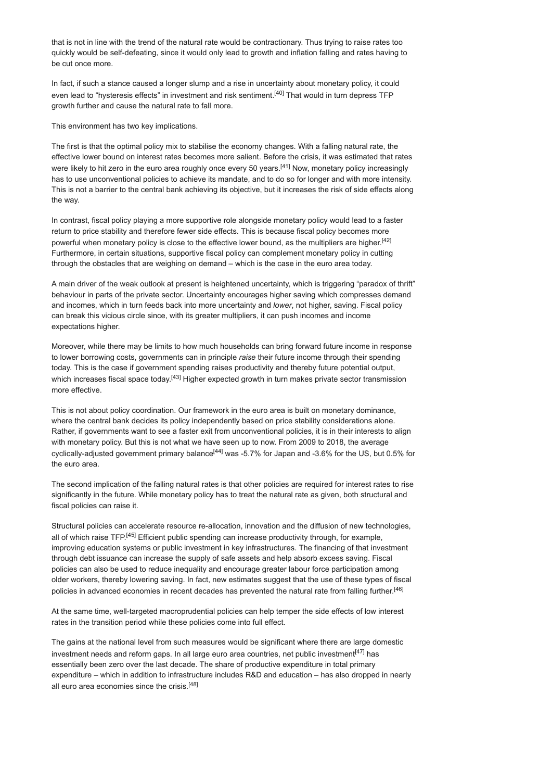that is not in line with the trend of the natural rate would be contractionary. Thus trying to raise rates too quickly would be self-defeating, since it would only lead to growth and inflation falling and rates having to be cut once more.

In fact, if such a stance caused a longer slump and a rise in uncertainty about monetary policy, it could even lead to "hysteresis effects" in investment and risk sentiment.<sup>[40]</sup> That would in turn depress TFP growth further and cause the natural rate to fall more.

This environment has two key implications.

The first is that the optimal policy mix to stabilise the economy changes. With a falling natural rate, the effective lower bound on interest rates becomes more salient. Before the crisis, it was estimated that rates were likely to hit zero in the euro area roughly once every 50 years.<sup>[41]</sup> Now, monetary policy increasingly has to use unconventional policies to achieve its mandate, and to do so for longer and with more intensity. This is not a barrier to the central bank achieving its objective, but it increases the risk of side effects along the way.

In contrast, fiscal policy playing a more supportive role alongside monetary policy would lead to a faster return to price stability and therefore fewer side effects. This is because fiscal policy becomes more powerful when monetary policy is close to the effective lower bound, as the multipliers are higher.<sup>[42]</sup> Furthermore, in certain situations, supportive fiscal policy can complement monetary policy in cutting through the obstacles that are weighing on demand – which is the case in the euro area today.

A main driver of the weak outlook at present is heightened uncertainty, which is triggering "paradox of thrift" behaviour in parts of the private sector. Uncertainty encourages higher saving which compresses demand and incomes, which in turn feeds back into more uncertainty and *lower*, not higher, saving. Fiscal policy can break this vicious circle since, with its greater multipliers, it can push incomes and income expectations higher.

Moreover, while there may be limits to how much households can bring forward future income in response to lower borrowing costs, governments can in principle *raise* their future income through their spending today. This is the case if government spending raises productivity and thereby future potential output, which increases fiscal space today.<sup>[43]</sup> Higher expected growth in turn makes private sector transmission more effective.

This is not about policy coordination. Our framework in the euro area is built on monetary dominance, where the central bank decides its policy independently based on price stability considerations alone. Rather, if governments want to see a faster exit from unconventional policies, it is in their interests to align with monetary policy. But this is not what we have seen up to now. From 2009 to 2018, the average cyclically-adjusted government primary balance<sup>[44]</sup> was -5.7% for Japan and -3.6% for the US, but 0.5% for the euro area.

The second implication of the falling natural rates is that other policies are required for interest rates to rise significantly in the future. While monetary policy has to treat the natural rate as given, both structural and fiscal policies can raise it.

Structural policies can accelerate resource re-allocation, innovation and the diffusion of new technologies, all of which raise TFP.<sup>[45]</sup> Efficient public spending can increase productivity through, for example, improving education systems or public investment in key infrastructures. The financing of that investment through debt issuance can increase the supply of safe assets and help absorb excess saving. Fiscal policies can also be used to reduce inequality and encourage greater labour force participation among older workers, thereby lowering saving. In fact, new estimates suggest that the use of these types of fiscal policies in advanced economies in recent decades has prevented the natural rate from falling further.<sup>[46]</sup>

At the same time, well-targeted macroprudential policies can help temper the side effects of low interest rates in the transition period while these policies come into full effect.

The gains at the national level from such measures would be significant where there are large domestic investment needs and reform gaps. In all large euro area countries, net public investment<sup>[47]</sup> has essentially been zero over the last decade. The share of productive expenditure in total primary expenditure – which in addition to infrastructure includes R&D and education – has also dropped in nearly all euro area economies since the crisis.<sup>[48]</sup>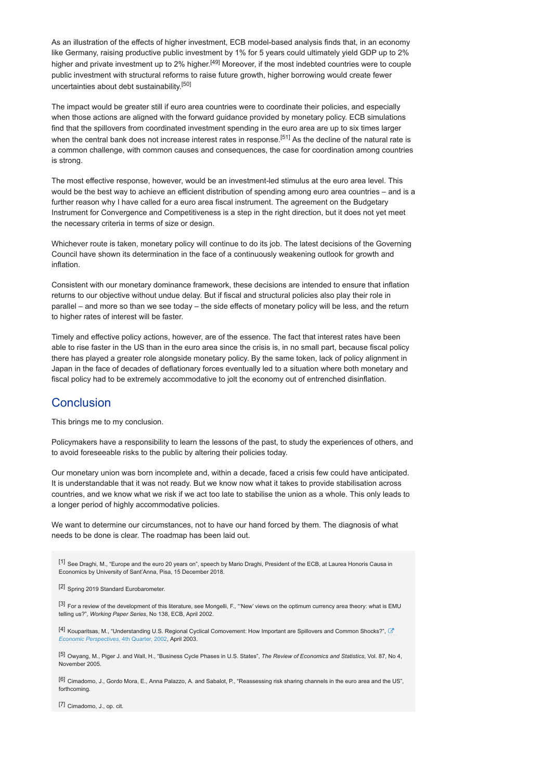As an illustration of the effects of higher investment, ECB model-based analysis finds that, in an economy like Germany, raising productive public investment by 1% for 5 years could ultimately yield GDP up to 2% higher and private investment up to 2% higher.<sup>[49]</sup> Moreover, if the most indebted countries were to couple public investment with structural reforms to raise future growth, higher borrowing would create fewer uncertainties about debt sustainability.[50]

The impact would be greater still if euro area countries were to coordinate their policies, and especially when those actions are aligned with the forward guidance provided by monetary policy. ECB simulations find that the spillovers from coordinated investment spending in the euro area are up to six times larger when the central bank does not increase interest rates in response.<sup>[51]</sup> As the decline of the natural rate is a common challenge, with common causes and consequences, the case for coordination among countries is strong.

The most effective response, however, would be an investment-led stimulus at the euro area level. This would be the best way to achieve an efficient distribution of spending among euro area countries – and is a further reason why I have called for a euro area fiscal instrument. The agreement on the Budgetary Instrument for Convergence and Competitiveness is a step in the right direction, but it does not yet meet the necessary criteria in terms of size or design.

Whichever route is taken, monetary policy will continue to do its job. The latest decisions of the Governing Council have shown its determination in the face of a continuously weakening outlook for growth and inflation.

Consistent with our monetary dominance framework, these decisions are intended to ensure that inflation returns to our objective without undue delay. But if fiscal and structural policies also play their role in parallel – and more so than we see today – the side effects of monetary policy will be less, and the return to higher rates of interest will be faster.

Timely and effective policy actions, however, are of the essence. The fact that interest rates have been able to rise faster in the US than in the euro area since the crisis is, in no small part, because fiscal policy there has played a greater role alongside monetary policy. By the same token, lack of policy alignment in Japan in the face of decades of deflationary forces eventually led to a situation where both monetary and fiscal policy had to be extremely accommodative to jolt the economy out of entrenched disinflation.

## **Conclusion**

This brings me to my conclusion.

Policymakers have a responsibility to learn the lessons of the past, to study the experiences of others, and to avoid foreseeable risks to the public by altering their policies today.

Our monetary union was born incomplete and, within a decade, faced a crisis few could have anticipated. It is understandable that it was not ready. But we know now what it takes to provide stabilisation across countries, and we know what we risk if we act too late to stabilise the union as a whole. This only leads to a longer period of highly accommodative policies.

We want to determine our circumstances, not to have our hand forced by them. The diagnosis of what needs to be done is clear. The roadmap has been laid out.

[1] See Draghi, M., "Europe and the euro 20 years on", speech by Mario Draghi, President of the ECB, at Laurea Honoris Causa in Economics by University of Sant'Anna, Pisa, 15 December 2018.

[2] Spring 2019 Standard Eurobarometer.

[3] For a review of the development of this literature, see Mongelli, F., "'New' views on the optimum currency area theory: what is EMU telling us?", *Working Paper Series*, No 138, ECB, April 2002.

[4] Kouparitsas, M., "Understanding U.S. Regional Cyclical Comovement: How Important are Spillovers and Common Shocks?",  $\mathbb Z$ *Economic Perspectives*, 4th Quarter, 2002, April 2003.

[5] Owyang, M., Piger J. and Wall, H., "Business Cycle Phases in U.S. States", *The Review of Economics and Statistics*, Vol. 87, No 4, November 2005.

[6] Cimadomo, J., Gordo Mora, E., Anna Palazzo, A. and Sabalot, P., "Reassessing risk sharing channels in the euro area and the US", forthcoming.

[7] Cimadomo, J., op. cit.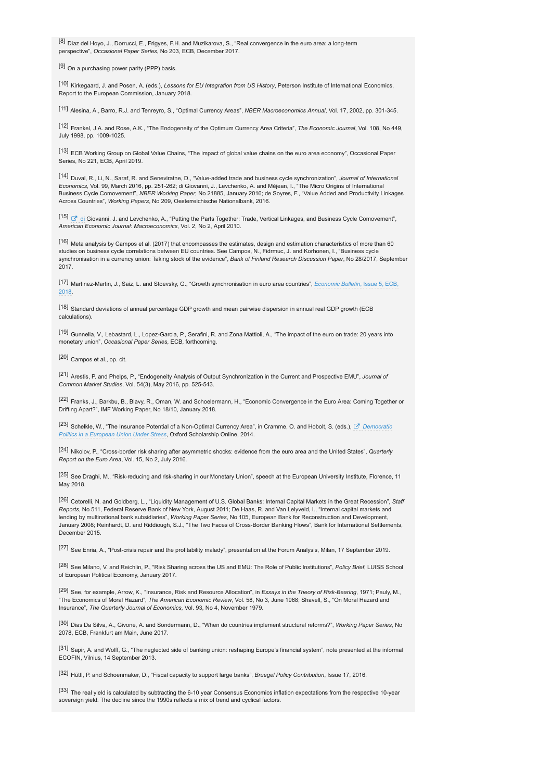[8] Diaz del Hoyo, J., Dorrucci, E., Frigyes, F.H. and Muzikarova, S., "Real convergence in the euro area: a long-term perspective", *Occasional Paper Series*, No 203, ECB, December 2017.

 $[9]$  On a purchasing power parity (PPP) basis.

[10] Kirkegaard, J. and Posen, A. (eds.), *Lessons for EU Integration from US History*, Peterson Institute of International Economics, Report to the European Commission, January 2018.

[11] Alesina, A., Barro, R.J. and Tenreyro, S., "Optimal Currency Areas", *NBER Macroeconomics Annual*, Vol. 17, 2002, pp. 301-345.

[12] Frankel, J.A. and Rose, A.K., "The Endogeneity of the Optimum Currency Area Criteria", *The Economic Journal*, Vol. 108, No 449, July 1998, pp. 1009-1025.

[13] ECB Working Group on Global Value Chains, "The impact of global value chains on the euro area economy", Occasional Paper Series, No. 221, ECB, April 2019.

[14] Duval, R., Li, N., Saraf, R. and Seneviratne, D., "Value-added trade and business cycle synchronization", *Journal of International Economics*, Vol. 99, March 2016, pp. 251-262; di Giovanni, J., Levchenko, A. and Méjean, L. "The Micro Origins of International Business Cycle Comovement", *NBER Working Paper*, No 21885, January 2016; de Soyres, F., "Value Added and Productivity Linkages Across Countries", *Working Papers*, No 209, Oesterreichische Nationalbank, 2016.

[15]  $\Box$  di Giovanni, J. and Levchenko, A., "Putting the Parts Together: Trade, Vertical Linkages, and Business Cycle Comovement", *American Economic Journal: Macroeconomics*, Vol. 2, No 2, April 2010.

[16] Meta analysis by Campos et al. (2017) that encompasses the estimates, design and estimation characteristics of more than 60 studies on business cycle correlations between EU countries. See Campos, N., Fidrmuc, J. and Korhonen, I., "Business cycle synchronisation in a currency union: Taking stock of the evidence", *Bank of Finland Research Discussion Paper*, No 28/2017, September 2017.

[17] Martinez-Martin, J., Saiz, L. and Stoevsky, G., "Growth synchronisation in euro area countries", *Economic Bulletin*, Issue 5, ECB, 2018.

[18] Standard deviations of annual percentage GDP growth and mean pairwise dispersion in annual real GDP growth (ECB calculations).

[19] Gunnella, V., Lebastard, L., Lopez-Garcia, P., Serafini, R. and Zona Mattioli, A., "The impact of the euro on trade: 20 years into monetary union", *Occasional Paper Series*, ECB, forthcoming.

[20] Campos et al., op. cit.

[21] Arestis, P. and Phelps, P., "Endogeneity Analysis of Output Synchronization in the Current and Prospective EMU", *Journal of Common Market Studies*, Vol. 54(3), May 2016, pp. 525-543.

[22] Franks, J., Barkbu, B., Blavy, R., Oman, W. and Schoelermann, H., "Economic Convergence in the Euro Area: Coming Together or Drifting Apart?", IMF Working Paper, No 18/10, January 2018.

[23] Schelkle, W., "The Insurance Potential of a Non-Optimal Currency Area", in Cramme, O. and Hobolt, S. (eds.), *Democratic* % *Politics in a European Union Under Stress*, Oxford Scholarship Online, 2014.

[24] Nikolov, P., "Cross-border risk sharing after asymmetric shocks: evidence from the euro area and the United States", *Quarterly Report on the Euro Area*, Vol. 15, No 2, July 2016.

[25] See Draghi, M., "Risk-reducing and risk-sharing in our Monetary Union", speech at the European University Institute, Florence, 11 May 2018.

[26] Cetorelli, N. and Goldberg, L., "Liquidity Management of U.S. Global Banks: Internal Capital Markets in the Great Recession", *Staff Reports*, No 511, Federal Reserve Bank of New York, August 2011; De Haas, R. and Van Lelyveld, I., "Internal capital markets and lending by multinational bank subsidiaries", *Working Paper Series*, No 105, European Bank for Reconstruction and Development, January 2008; Reinhardt, D. and Riddiough, S.J., "The Two Faces of Cross-Border Banking Flows", Bank for International Settlements, December 2015.

[27] See Enria, A., "Post-crisis repair and the profitability malady", presentation at the Forum Analysis, Milan, 17 September 2019.

[28] See Milano, V. and Reichlin, P., "Risk Sharing across the US and EMU: The Role of Public Institutions", *Policy Brief*, LUISS School of European Political Economy, January 2017.

[29] See, for example, Arrow, K., "Insurance, Risk and Resource Allocation", in *Essays in the Theory of Risk-Bearing*, 1971; Pauly, M., "The Economics of Moral Hazard", *The American Economic Review*, Vol. 58, No 3, June 1968; Shavell, S., "On Moral Hazard and Insurance", *The Quarterly Journal of Economics*, Vol. 93, No 4, November 1979.

[30] Dias Da Silva, A., Givone, A. and Sondermann, D., "When do countries implement structural reforms?", *Working Paper Series*, No 2078, ECB, Frankfurt am Main, June 2017.

[31] Sapir, A. and Wolff, G., "The neglected side of banking union: reshaping Europe's financial system", note presented at the informal ECOFIN, Vilnius, 14 September 2013.

[32] Hüttl, P. and Schoenmaker, D., "Fiscal capacity to support large banks", *Bruegel Policy Contribution*, Issue 17, 2016.

[33] The real yield is calculated by subtracting the 6-10 year Consensus Economics inflation expectations from the respective 10-year sovereign yield. The decline since the 1990s reflects a mix of trend and cyclical factors.